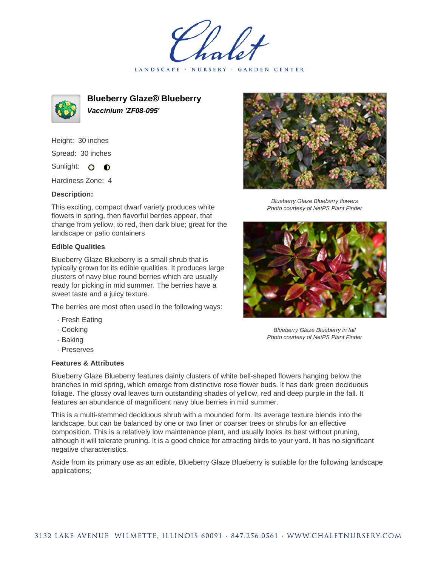LANDSCAPE · NURSERY · GARDEN CENTER



**Blueberry Glaze® Blueberry Vaccinium 'ZF08-095'**

Height: 30 inches Spread: 30 inches

Sunlight: O O

Hardiness Zone: 4

## **Description:**

This exciting, compact dwarf variety produces white flowers in spring, then flavorful berries appear, that change from yellow, to red, then dark blue; great for the landscape or patio containers

## **Edible Qualities**

Blueberry Glaze Blueberry is a small shrub that is typically grown for its edible qualities. It produces large clusters of navy blue round berries which are usually ready for picking in mid summer. The berries have a sweet taste and a juicy texture.

The berries are most often used in the following ways:

- Fresh Eating
- Cooking
- Baking
- Preserves

## **Features & Attributes**

Blueberry Glaze Blueberry features dainty clusters of white bell-shaped flowers hanging below the branches in mid spring, which emerge from distinctive rose flower buds. It has dark green deciduous foliage. The glossy oval leaves turn outstanding shades of yellow, red and deep purple in the fall. It features an abundance of magnificent navy blue berries in mid summer.

This is a multi-stemmed deciduous shrub with a mounded form. Its average texture blends into the landscape, but can be balanced by one or two finer or coarser trees or shrubs for an effective composition. This is a relatively low maintenance plant, and usually looks its best without pruning, although it will tolerate pruning. It is a good choice for attracting birds to your yard. It has no significant negative characteristics.

Aside from its primary use as an edible, Blueberry Glaze Blueberry is sutiable for the following landscape applications;



Blueberry Glaze Blueberry flowers Photo courtesy of NetPS Plant Finder



Blueberry Glaze Blueberry in fall Photo courtesy of NetPS Plant Finder